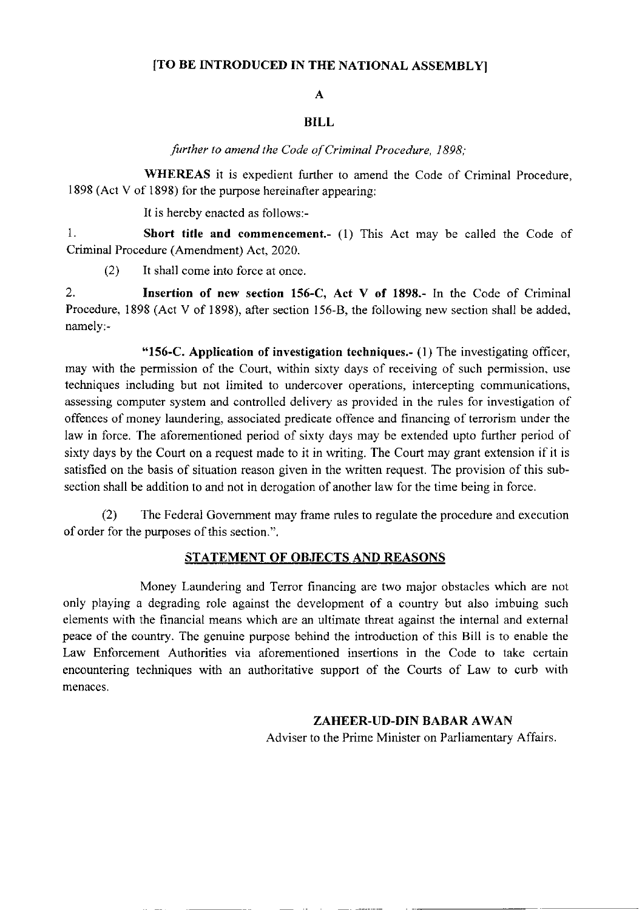## ITO BE INTRODUCED IN THE NATIONAL ASSEMBLY]

# A

## BILL

further to amend the Code of Criminal Procedure, 1898;

WHEREAS it is expedient further to amend the Code of Criminal Procedure, 1898 (Act V of 1898) for the purpose hereinafter appearing:

It is hereby enacted as follows:-

1. Short title and commencement.- (1) This Act may be called the Code of Criminal Procedure (Amendment) Act, 2020.

(2) It shall come into force at once.

2. Insertion of new section 156-C, Act V of 1898.- In the Code of Criminal Procedure, 1898 (Act V of 1898), after section 156-8, the following new section shall be added. namely:-

"156-C. Application of investigation techniques.-  $(1)$  The investigating officer, may with the permission of the Court, within sixty days of receiving of such permission, use techniques including but not limited to undercover operations. intercepting communications. assessing computer system and controlled delivery as provided in the rules for investigation of offences of money laundering, associated predicate offence and financing of terrorism under the law in force. The aforementioned period of sixty days may be extended upto further period of sixty days by the Court on a request made to it in writing. The Court may grant extension if it is satisfied on the basis of situation reason given in the written request. The provision of this subsection shall be addition to and not in derogation of another law for the time being in force.

(2) The Federal Govemment may frame rules to regulate the procedure and execution of order for the purposes of this section.".

#### STATEMENT OF OBJECTS AND REASONS

Money Laundering and Terror financing are two major obstacles which are not only playing a degrading role against the development of a country but also imbuing such elements with the financial means which are an ultimate threat against the intemal and extemal psace of the country. The genuine purpose behind the introduction of this Bill is to enable the Law Enforcement Authorities via aforementioned insertions in the Code to take ceftain encountering techniques with an authoritative support of the Courts of Law to curb with menaces.

#### ZAHEER.UD-DIN BABAR AWAN

Adviser to the Prime Minister on Parliamentary Affairs.